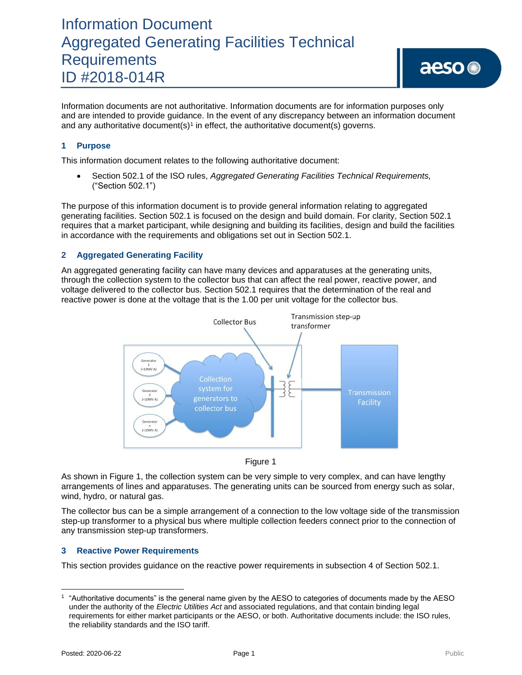Information documents are not authoritative. Information documents are for information purposes only and are intended to provide guidance. In the event of any discrepancy between an information document and any authoritative document(s)<sup>1</sup> in effect, the authoritative document(s) governs.

### **1 Purpose**

This information document relates to the following authoritative document:

• Section 502.1 of the ISO rules, *Aggregated Generating Facilities Technical Requirements,*  ("Section 502.1")

The purpose of this information document is to provide general information relating to aggregated generating facilities. Section 502.1 is focused on the design and build domain. For clarity, Section 502.1 requires that a market participant, while designing and building its facilities, design and build the facilities in accordance with the requirements and obligations set out in Section 502.1.

#### **2 Aggregated Generating Facility**

An aggregated generating facility can have many devices and apparatuses at the generating units, through the collection system to the collector bus that can affect the real power, reactive power, and voltage delivered to the collector bus. Section 502.1 requires that the determination of the real and reactive power is done at the voltage that is the 1.00 per unit voltage for the collector bus.





As shown in Figure 1, the collection system can be very simple to very complex, and can have lengthy arrangements of lines and apparatuses. The generating units can be sourced from energy such as solar, wind, hydro, or natural gas.

The collector bus can be a simple arrangement of a connection to the low voltage side of the transmission step-up transformer to a physical bus where multiple collection feeders connect prior to the connection of any transmission step-up transformers.

#### **3 Reactive Power Requirements**

This section provides guidance on the reactive power requirements in subsection 4 of Section 502.1.

<sup>1</sup> "Authoritative documents" is the general name given by the AESO to categories of documents made by the AESO under the authority of the *Electric Utilities Act* and associated regulations, and that contain binding legal requirements for either market participants or the AESO, or both. Authoritative documents include: the ISO rules, the reliability standards and the ISO tariff.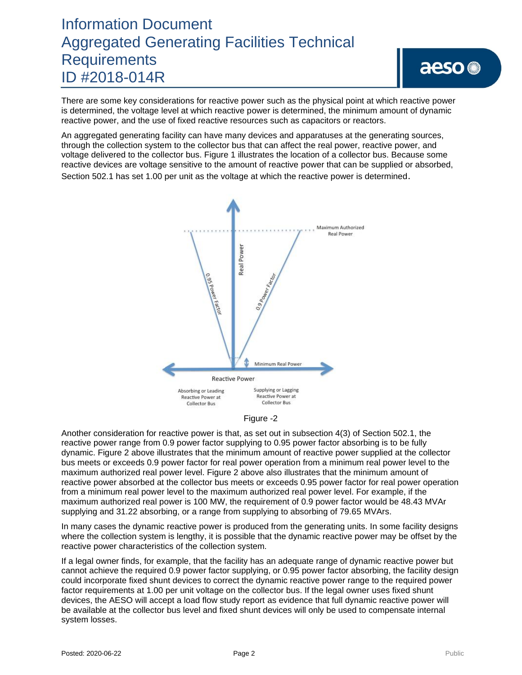There are some key considerations for reactive power such as the physical point at which reactive power is determined, the voltage level at which reactive power is determined, the minimum amount of dynamic reactive power, and the use of fixed reactive resources such as capacitors or reactors.

An aggregated generating facility can have many devices and apparatuses at the generating sources, through the collection system to the collector bus that can affect the real power, reactive power, and voltage delivered to the collector bus. Figure 1 illustrates the location of a collector bus. Because some reactive devices are voltage sensitive to the amount of reactive power that can be supplied or absorbed, Section 502.1 has set 1.00 per unit as the voltage at which the reactive power is determined.





Another consideration for reactive power is that, as set out in subsection 4(3) of Section 502.1, the reactive power range from 0.9 power factor supplying to 0.95 power factor absorbing is to be fully dynamic. Figure 2 above illustrates that the minimum amount of reactive power supplied at the collector bus meets or exceeds 0.9 power factor for real power operation from a minimum real power level to the maximum authorized real power level. Figure 2 above also illustrates that the minimum amount of reactive power absorbed at the collector bus meets or exceeds 0.95 power factor for real power operation from a minimum real power level to the maximum authorized real power level. For example, if the maximum authorized real power is 100 MW, the requirement of 0.9 power factor would be 48.43 MVAr supplying and 31.22 absorbing, or a range from supplying to absorbing of 79.65 MVArs.

In many cases the dynamic reactive power is produced from the generating units. In some facility designs where the collection system is lengthy, it is possible that the dynamic reactive power may be offset by the reactive power characteristics of the collection system.

If a legal owner finds, for example, that the facility has an adequate range of dynamic reactive power but cannot achieve the required 0.9 power factor supplying, or 0.95 power factor absorbing, the facility design could incorporate fixed shunt devices to correct the dynamic reactive power range to the required power factor requirements at 1.00 per unit voltage on the collector bus. If the legal owner uses fixed shunt devices, the AESO will accept a load flow study report as evidence that full dynamic reactive power will be available at the collector bus level and fixed shunt devices will only be used to compensate internal system losses.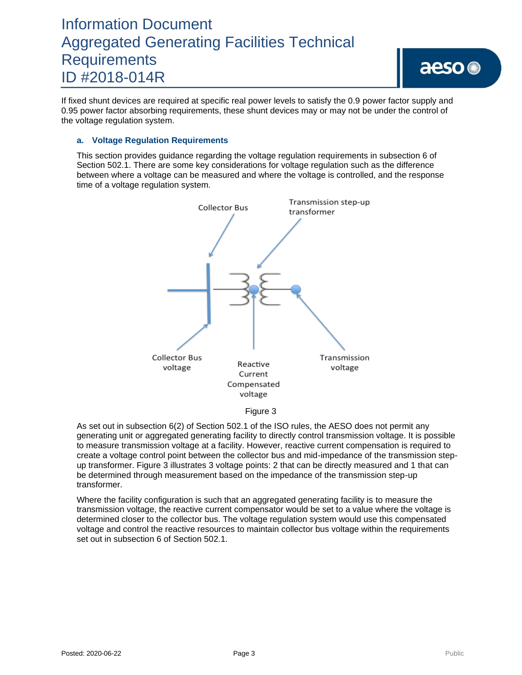If fixed shunt devices are required at specific real power levels to satisfy the 0.9 power factor supply and 0.95 power factor absorbing requirements, these shunt devices may or may not be under the control of the voltage regulation system.

#### **a. Voltage Regulation Requirements**

This section provides guidance regarding the voltage regulation requirements in subsection 6 of Section 502.1. There are some key considerations for voltage regulation such as the difference between where a voltage can be measured and where the voltage is controlled, and the response time of a voltage regulation system.



As set out in subsection 6(2) of Section 502.1 of the ISO rules, the AESO does not permit any generating unit or aggregated generating facility to directly control transmission voltage. It is possible to measure transmission voltage at a facility. However, reactive current compensation is required to create a voltage control point between the collector bus and mid-impedance of the transmission stepup transformer. Figure 3 illustrates 3 voltage points: 2 that can be directly measured and 1 that can be determined through measurement based on the impedance of the transmission step-up transformer.

Where the facility configuration is such that an aggregated generating facility is to measure the transmission voltage, the reactive current compensator would be set to a value where the voltage is determined closer to the collector bus. The voltage regulation system would use this compensated voltage and control the reactive resources to maintain collector bus voltage within the requirements set out in subsection 6 of Section 502.1.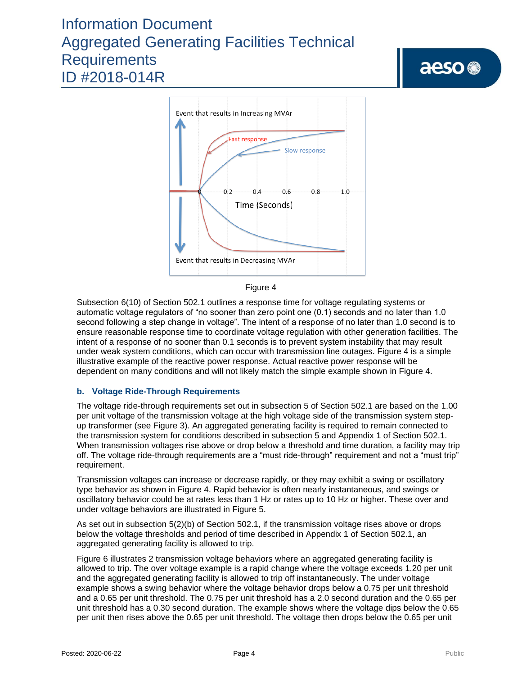



Subsection 6(10) of Section 502.1 outlines a response time for voltage regulating systems or automatic voltage regulators of "no sooner than zero point one (0.1) seconds and no later than 1.0 second following a step change in voltage". The intent of a response of no later than 1.0 second is to ensure reasonable response time to coordinate voltage regulation with other generation facilities. The intent of a response of no sooner than 0.1 seconds is to prevent system instability that may result under weak system conditions, which can occur with transmission line outages. Figure 4 is a simple illustrative example of the reactive power response. Actual reactive power response will be dependent on many conditions and will not likely match the simple example shown in Figure 4.

### **b. Voltage Ride-Through Requirements**

The voltage ride-through requirements set out in subsection 5 of Section 502.1 are based on the 1.00 per unit voltage of the transmission voltage at the high voltage side of the transmission system stepup transformer (see Figure 3). An aggregated generating facility is required to remain connected to the transmission system for conditions described in subsection 5 and Appendix 1 of Section 502.1. When transmission voltages rise above or drop below a threshold and time duration, a facility may trip off. The voltage ride-through requirements are a "must ride-through" requirement and not a "must trip" requirement.

Transmission voltages can increase or decrease rapidly, or they may exhibit a swing or oscillatory type behavior as shown in Figure 4. Rapid behavior is often nearly instantaneous, and swings or oscillatory behavior could be at rates less than 1 Hz or rates up to 10 Hz or higher. These over and under voltage behaviors are illustrated in Figure 5.

As set out in subsection 5(2)(b) of Section 502.1, if the transmission voltage rises above or drops below the voltage thresholds and period of time described in Appendix 1 of Section 502.1, an aggregated generating facility is allowed to trip.

Figure 6 illustrates 2 transmission voltage behaviors where an aggregated generating facility is allowed to trip. The over voltage example is a rapid change where the voltage exceeds 1.20 per unit and the aggregated generating facility is allowed to trip off instantaneously. The under voltage example shows a swing behavior where the voltage behavior drops below a 0.75 per unit threshold and a 0.65 per unit threshold. The 0.75 per unit threshold has a 2.0 second duration and the 0.65 per unit threshold has a 0.30 second duration. The example shows where the voltage dips below the 0.65 per unit then rises above the 0.65 per unit threshold. The voltage then drops below the 0.65 per unit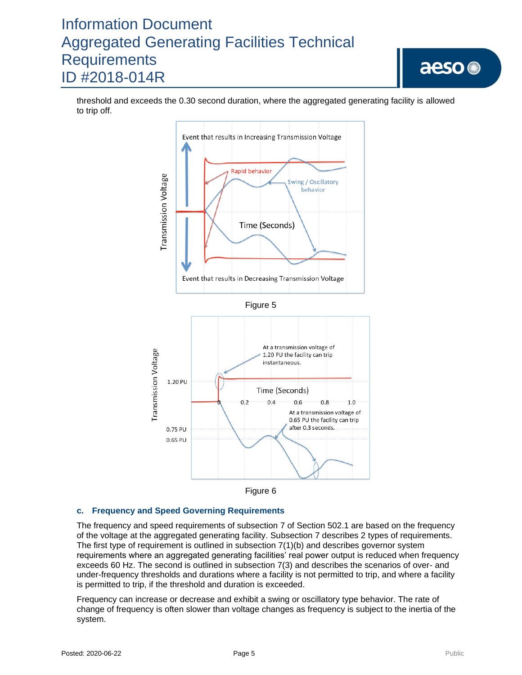threshold and exceeds the 0.30 second duration, where the aggregated generating facility is allowed to trip off.





### **c. Frequency and Speed Governing Requirements**

The frequency and speed requirements of subsection 7 of Section 502.1 are based on the frequency of the voltage at the aggregated generating facility. Subsection 7 describes 2 types of requirements. The first type of requirement is outlined in subsection 7(1)(b) and describes governor system requirements where an aggregated generating facilities' real power output is reduced when frequency exceeds 60 Hz. The second is outlined in subsection 7(3) and describes the scenarios of over- and under-frequency thresholds and durations where a facility is not permitted to trip, and where a facility is permitted to trip, if the threshold and duration is exceeded.

Frequency can increase or decrease and exhibit a swing or oscillatory type behavior. The rate of change of frequency is often slower than voltage changes as frequency is subject to the inertia of the system.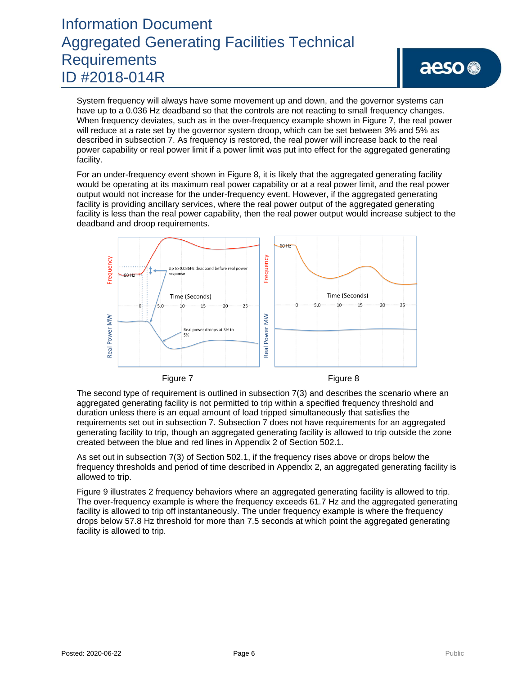System frequency will always have some movement up and down, and the governor systems can have up to a 0.036 Hz deadband so that the controls are not reacting to small frequency changes. When frequency deviates, such as in the over-frequency example shown in Figure 7, the real power will reduce at a rate set by the governor system droop, which can be set between 3% and 5% as described in subsection 7. As frequency is restored, the real power will increase back to the real power capability or real power limit if a power limit was put into effect for the aggregated generating facility.

For an under-frequency event shown in Figure 8, it is likely that the aggregated generating facility would be operating at its maximum real power capability or at a real power limit, and the real power output would not increase for the under-frequency event. However, if the aggregated generating facility is providing ancillary services, where the real power output of the aggregated generating facility is less than the real power capability, then the real power output would increase subject to the deadband and droop requirements.



The second type of requirement is outlined in subsection 7(3) and describes the scenario where an aggregated generating facility is not permitted to trip within a specified frequency threshold and duration unless there is an equal amount of load tripped simultaneously that satisfies the requirements set out in subsection 7. Subsection 7 does not have requirements for an aggregated generating facility to trip, though an aggregated generating facility is allowed to trip outside the zone created between the blue and red lines in Appendix 2 of Section 502.1.

As set out in subsection 7(3) of Section 502.1, if the frequency rises above or drops below the frequency thresholds and period of time described in Appendix 2, an aggregated generating facility is allowed to trip.

Figure 9 illustrates 2 frequency behaviors where an aggregated generating facility is allowed to trip. The over-frequency example is where the frequency exceeds 61.7 Hz and the aggregated generating facility is allowed to trip off instantaneously. The under frequency example is where the frequency drops below 57.8 Hz threshold for more than 7.5 seconds at which point the aggregated generating facility is allowed to trip.